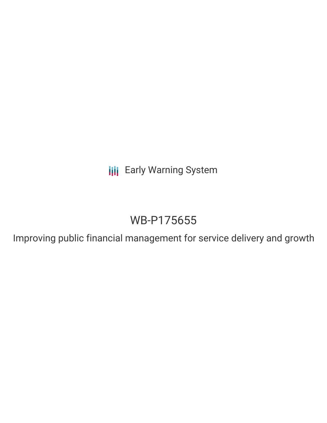**III** Early Warning System

## WB-P175655

Improving public financial management for service delivery and growth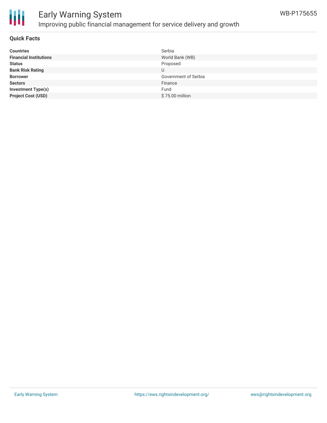

# Ш

## Early Warning System Improving public financial management for service delivery and growth

## **Quick Facts**

| <b>Countries</b>              | Serbia               |
|-------------------------------|----------------------|
| <b>Financial Institutions</b> | World Bank (WB)      |
| <b>Status</b>                 | Proposed             |
| <b>Bank Risk Rating</b>       |                      |
| <b>Borrower</b>               | Government of Serbia |
| <b>Sectors</b>                | Finance              |
| <b>Investment Type(s)</b>     | Fund                 |
| <b>Project Cost (USD)</b>     | \$75.00 million      |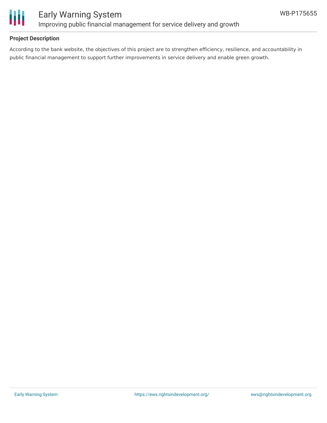

## **Project Description**

According to the bank website, the objectives of this project are to strengthen efficiency, resilience, and accountability in public financial management to support further improvements in service delivery and enable green growth.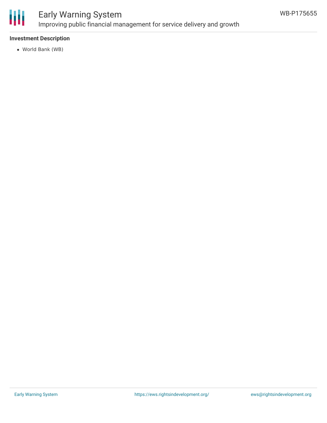

## Early Warning System Improving public financial management for service delivery and growth

## **Investment Description**

World Bank (WB)